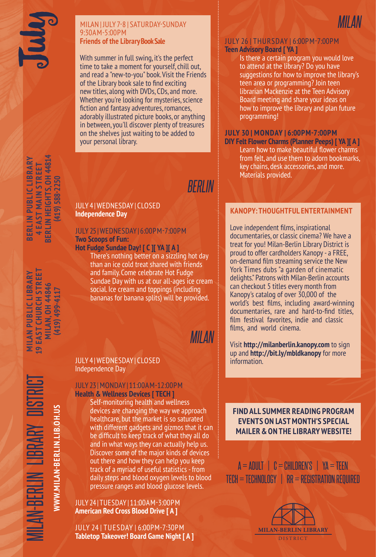#### MILAN | JULY 7-8 | SATURDAY-SUNDAY 9:30AM-5:00PM **Friends of the Library Book Sale**

With summer in full swing, it's the perfect time to take a moment for yourself, chill out, and read a "new-to-you" book. Visit the Friends of the Library book sale to find exciting new titles, along with DVDs, CDs, and more. Whether you're looking for mysteries, science fiction and fantasy adventures, romances, adorably illustrated picture books, or anything in between, you'll discover plenty of treasures on the shelves just waiting to be added to your personal library.

MILAN-BERLIN LIBRARY DISTRICT **MILAN PUBLIC LIBRARY 19 EAST CHURCH STREET MILAN, OH 44846 L9 EAST CHURCH STREET MILAN PUBLIC LIBRARY MILAN, 0H 44846** (419) 499-4117 **(419) 499-4117**

**WWW.MILAN-BERLIN.LIB.OH.US**

WWW.MILAN-BERLIN.LIB.OH.US

LAN-BERLIN LIBRARY

JULY 4 | WEDNESDAY | CLOSED **Independence Day**

## JULY 25 | WEDNESDAY | 6:00PM-7:00PM **Two Scoops of Fun:**

**Hot Fudge Sundae Day! [ C ][ YA ][ A ]** There's nothing better on a sizzling hot day

than an ice cold treat shared with friends and family. Come celebrate Hot Fudge Sundae Day with us at our all-ages ice cream social. Ice cream and toppings (including bananas for banana splits) will be provided.

# *MILAN*

*BERLIN*

### JULY 4 | WEDNESDAY | CLOSED Independence Day

#### JULY 23 | MONDAY | 11:00AM-12:00PM **Health & Wellness Devices [ TECH ]**

Self-monitoring health and wellness devices are changing the way we approach healthcare, but the market is so saturated with different gadgets and gizmos that it can be difficult to keep track of what they all do and in what ways they can actually help us. Discover some of the major kinds of devices out there and how they can help you keep track of a myriad of useful statistics - from daily steps and blood oxygen levels to blood pressure ranges and blood glucose levels.

#### JULY 24 | TUESDAY | 11:00AM-3:00PM **American Red Cross Blood Drive [ A ]**

JULY 24 | TUESDAY | 6:00PM-7:30PM **Tabletop Takeover! Board Game Night [ A ]**



Is there a certain program you would love to attend at the library? Do you have suggestions for how to improve the library's teen area or programming? Join teen librarian Mackenzie at the Teen Advisory Board meeting and share your ideas on how to improve the library and plan future programming!

*MILAN*

### **JULY 30 | MONDAY | 6:00PM-7:00PM**

**DIY Felt Flower Charms (Planner Peeps) [ YA ][ A ]**  Learn how to make beautiful flower charms from felt, and use them to adorn bookmarks, key chains, desk accessories, and more. Materials provided.

## **KANOPY: THOUGHTFUL ENTERTAINMENT**

Love independent films, inspirational documentaries, or classic cinema? We have a treat for you! Milan-Berlin Library District is proud to offer cardholders Kanopy - a FREE, on-demand film streaming service the New York Times dubs "a garden of cinematic delights." Patrons with Milan-Berlin accounts can checkout 5 titles every month from Kanopy's catalog of over 30,000 of the world's best films, including award-winning documentaries, rare and hard-to-find titles, film festival favorites, indie and classic films, and world cinema.

Visit **http://milanberlin.kanopy.com** to sign up and **http://bit.ly/mbldkanopy** for more information.

**FIND ALL SUMMER READING PROGRAM EVENTS ON LAST MONTH'S SPECIAL MAILER & ON THE LIBRARY WEBSITE!**

 $A = ADULT$  |  $C = CHILDREN'S$  |  $YA = TEEN$ TECH = TECHNOLOGY | RR = REGISTRATION REQUIRED